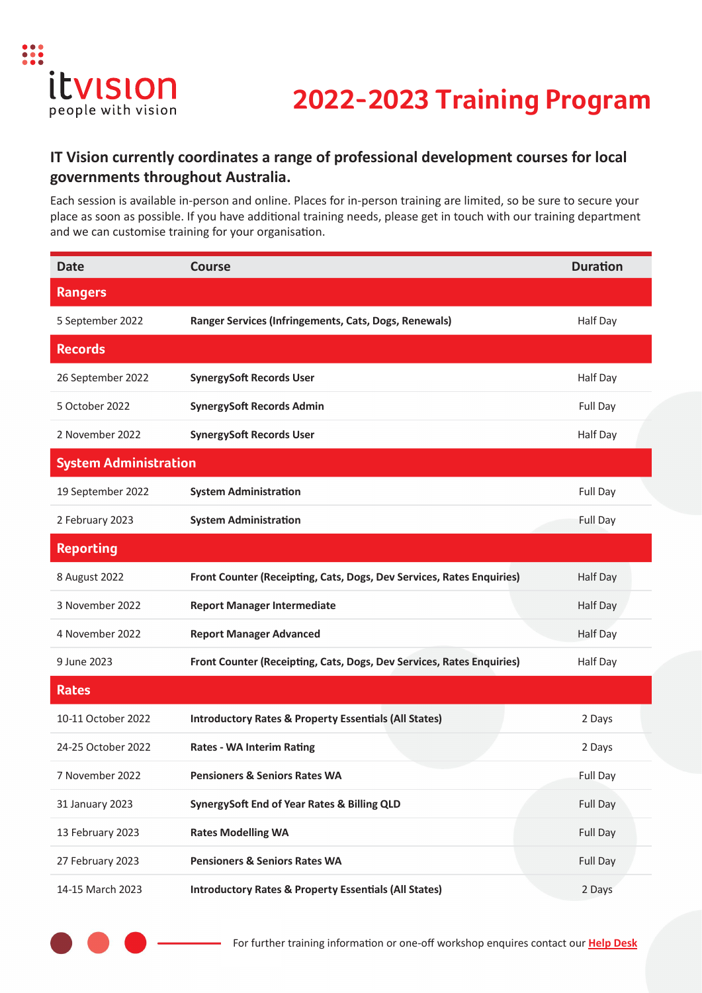

## **2022-2023 Training Program**

### **IT Vision currently coordinates a range of professional development courses for local governments throughout Australia.**

Each session is available in-person and online. Places for in-person training are limited, so be sure to secure your place as soon as possible. If you have additional training needs, please get in touch with our training department and we can customise training for your organisation.

| <b>Date</b>                  | <b>Course</b>                                                         | <b>Duration</b> |
|------------------------------|-----------------------------------------------------------------------|-----------------|
| <b>Rangers</b>               |                                                                       |                 |
| 5 September 2022             | Ranger Services (Infringements, Cats, Dogs, Renewals)                 | Half Day        |
| <b>Records</b>               |                                                                       |                 |
| 26 September 2022            | <b>SynergySoft Records User</b>                                       | Half Day        |
| 5 October 2022               | <b>SynergySoft Records Admin</b>                                      | Full Day        |
| 2 November 2022              | <b>SynergySoft Records User</b>                                       | Half Day        |
| <b>System Administration</b> |                                                                       |                 |
| 19 September 2022            | <b>System Administration</b>                                          | Full Day        |
| 2 February 2023              | <b>System Administration</b>                                          | Full Day        |
| <b>Reporting</b>             |                                                                       |                 |
| 8 August 2022                | Front Counter (Receipting, Cats, Dogs, Dev Services, Rates Enquiries) | Half Day        |
| 3 November 2022              | <b>Report Manager Intermediate</b>                                    | Half Day        |
| 4 November 2022              | <b>Report Manager Advanced</b>                                        | Half Day        |
| 9 June 2023                  | Front Counter (Receipting, Cats, Dogs, Dev Services, Rates Enquiries) | Half Day        |
| <b>Rates</b>                 |                                                                       |                 |
| 10-11 October 2022           | <b>Introductory Rates &amp; Property Essentials (All States)</b>      | 2 Days          |
| 24-25 October 2022           | <b>Rates - WA Interim Rating</b>                                      | 2 Days          |
| 7 November 2022              | <b>Pensioners &amp; Seniors Rates WA</b>                              | <b>Full Day</b> |
| 31 January 2023              | SynergySoft End of Year Rates & Billing QLD                           | Full Day        |
| 13 February 2023             | <b>Rates Modelling WA</b>                                             | Full Day        |
| 27 February 2023             | <b>Pensioners &amp; Seniors Rates WA</b>                              | Full Day        |
| 14-15 March 2023             | <b>Introductory Rates &amp; Property Essentials (All States)</b>      | 2 Days          |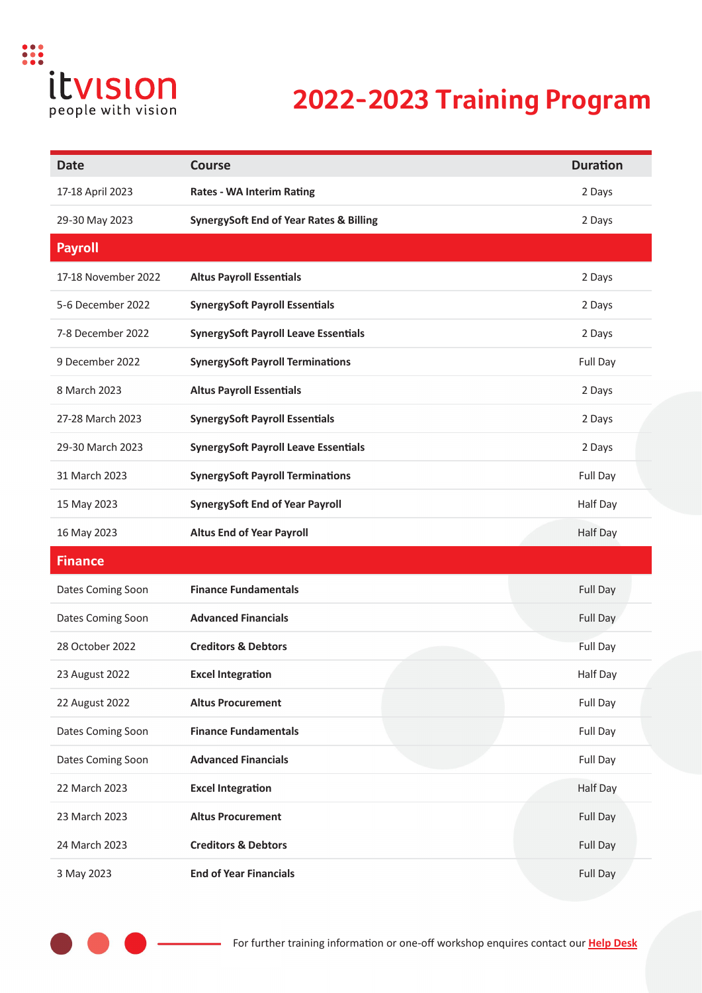

# **2022-2023 Training Program**

| <b>Date</b>         | <b>Course</b>                                      | <b>Duration</b> |
|---------------------|----------------------------------------------------|-----------------|
| 17-18 April 2023    | <b>Rates - WA Interim Rating</b>                   | 2 Days          |
| 29-30 May 2023      | <b>SynergySoft End of Year Rates &amp; Billing</b> | 2 Days          |
| <b>Payroll</b>      |                                                    |                 |
| 17-18 November 2022 | <b>Altus Payroll Essentials</b>                    | 2 Days          |
| 5-6 December 2022   | <b>SynergySoft Payroll Essentials</b>              | 2 Days          |
| 7-8 December 2022   | <b>SynergySoft Payroll Leave Essentials</b>        | 2 Days          |
| 9 December 2022     | <b>SynergySoft Payroll Terminations</b>            | Full Day        |
| 8 March 2023        | <b>Altus Payroll Essentials</b>                    | 2 Days          |
| 27-28 March 2023    | <b>SynergySoft Payroll Essentials</b>              | 2 Days          |
| 29-30 March 2023    | <b>SynergySoft Payroll Leave Essentials</b>        | 2 Days          |
| 31 March 2023       | <b>SynergySoft Payroll Terminations</b>            | Full Day        |
| 15 May 2023         | <b>SynergySoft End of Year Payroll</b>             | Half Day        |
| 16 May 2023         | <b>Altus End of Year Payroll</b>                   | Half Day        |
| <b>Finance</b>      |                                                    |                 |
| Dates Coming Soon   | <b>Finance Fundamentals</b>                        | Full Day        |
| Dates Coming Soon   | <b>Advanced Financials</b>                         | Full Day        |
| 28 October 2022     | <b>Creditors &amp; Debtors</b>                     | Full Day        |
| 23 August 2022      | <b>Excel Integration</b>                           | Half Day        |
| 22 August 2022      | <b>Altus Procurement</b>                           | Full Day        |
| Dates Coming Soon   | <b>Finance Fundamentals</b>                        | Full Day        |
| Dates Coming Soon   | <b>Advanced Financials</b>                         | Full Day        |
| 22 March 2023       | <b>Excel Integration</b>                           | <b>Half Day</b> |
| 23 March 2023       | <b>Altus Procurement</b>                           | Full Day        |
| 24 March 2023       | <b>Creditors &amp; Debtors</b>                     | Full Day        |
| 3 May 2023          | <b>End of Year Financials</b>                      | Full Day        |